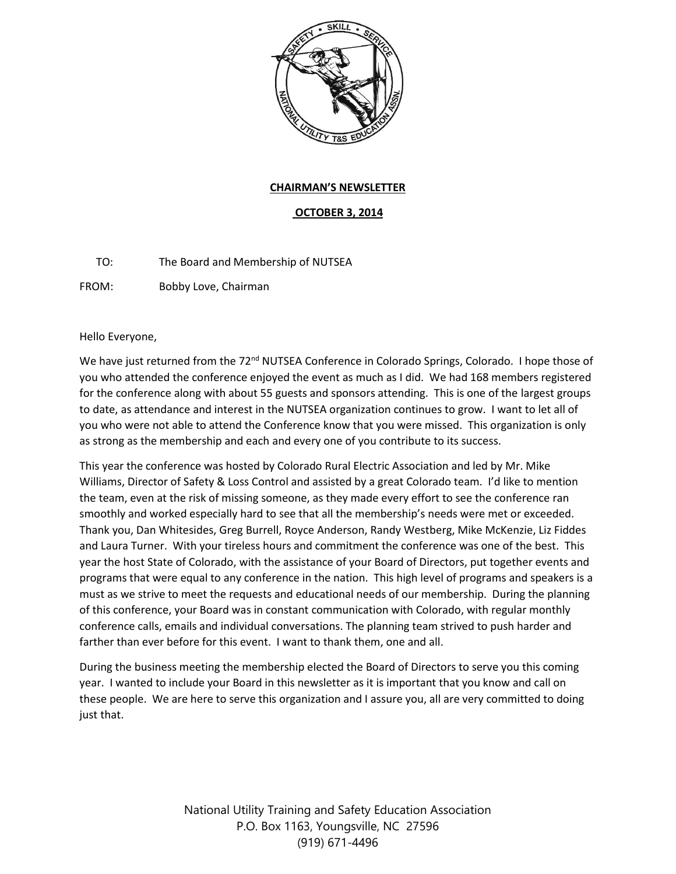

## **CHAIRMAN'S NEWSLETTER**

## **OCTOBER 3, 2014**

TO: The Board and Membership of NUTSEA

FROM: Bobby Love, Chairman

Hello Everyone,

We have just returned from the 72<sup>nd</sup> NUTSEA Conference in Colorado Springs, Colorado. I hope those of you who attended the conference enjoyed the event as much as I did. We had 168 members registered for the conference along with about 55 guests and sponsors attending. This is one of the largest groups to date, as attendance and interest in the NUTSEA organization continues to grow. I want to let all of you who were not able to attend the Conference know that you were missed. This organization is only as strong as the membership and each and every one of you contribute to its success.

This year the conference was hosted by Colorado Rural Electric Association and led by Mr. Mike Williams, Director of Safety & Loss Control and assisted by a great Colorado team. I'd like to mention the team, even at the risk of missing someone, as they made every effort to see the conference ran smoothly and worked especially hard to see that all the membership's needs were met or exceeded. Thank you, Dan Whitesides, Greg Burrell, Royce Anderson, Randy Westberg, Mike McKenzie, Liz Fiddes and Laura Turner. With your tireless hours and commitment the conference was one of the best. This year the host State of Colorado, with the assistance of your Board of Directors, put together events and programs that were equal to any conference in the nation. This high level of programs and speakers is a must as we strive to meet the requests and educational needs of our membership. During the planning of this conference, your Board was in constant communication with Colorado, with regular monthly conference calls, emails and individual conversations. The planning team strived to push harder and farther than ever before for this event. I want to thank them, one and all.

During the business meeting the membership elected the Board of Directors to serve you this coming year. I wanted to include your Board in this newsletter as it is important that you know and call on these people. We are here to serve this organization and I assure you, all are very committed to doing just that.

> National Utility Training and Safety Education Association P.O. Box 1163, Youngsville, NC 27596 (919) 671-4496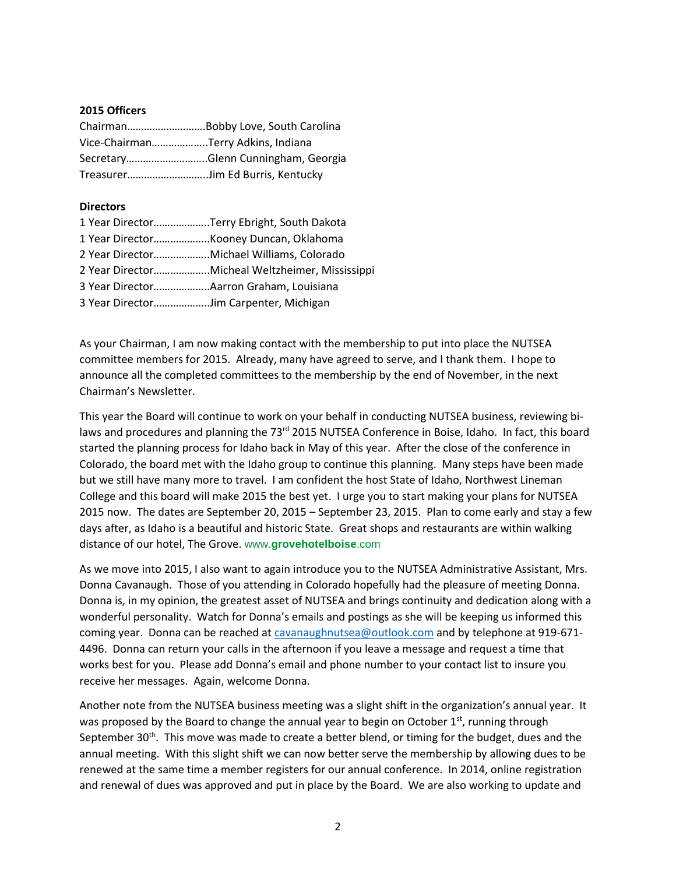## **2015 Officers**

| Vice-ChairmanTerry Adkins, Indiana |                                    |
|------------------------------------|------------------------------------|
|                                    | SecretaryGlenn Cunningham, Georgia |
| TreasurerJim Ed Burris, Kentucky   |                                    |

## **Directors**

|                                        | 1 Year DirectorTerry Ebright, South Dakota      |
|----------------------------------------|-------------------------------------------------|
|                                        |                                                 |
|                                        | 2 Year DirectorMichael Williams, Colorado       |
|                                        | 2 Year DirectorMicheal Weltzheimer, Mississippi |
|                                        |                                                 |
| 3 Year DirectorJim Carpenter, Michigan |                                                 |

As your Chairman, I am now making contact with the membership to put into place the NUTSEA committee members for 2015. Already, many have agreed to serve, and I thank them. I hope to announce all the completed committees to the membership by the end of November, in the next Chairman's Newsletter.

This year the Board will continue to work on your behalf in conducting NUTSEA business, reviewing bilaws and procedures and planning the 73<sup>rd</sup> 2015 NUTSEA Conference in Boise, Idaho. In fact, this board started the planning process for Idaho back in May of this year. After the close of the conference in Colorado, the board met with the Idaho group to continue this planning. Many steps have been made but we still have many more to travel. I am confident the host State of Idaho, Northwest Lineman College and this board will make 2015 the best yet. I urge you to start making your plans for NUTSEA 2015 now. The dates are September 20, 2015 – September 23, 2015. Plan to come early and stay a few days after, as Idaho is a beautiful and historic State. Great shops and restaurants are within walking distance of our hotel, The Grove. www.**grovehotelboise**.com

As we move into 2015, I also want to again introduce you to the NUTSEA Administrative Assistant, Mrs. Donna Cavanaugh. Those of you attending in Colorado hopefully had the pleasure of meeting Donna. Donna is, in my opinion, the greatest asset of NUTSEA and brings continuity and dedication along with a wonderful personality. Watch for Donna's emails and postings as she will be keeping us informed this coming year. Donna can be reached a[t cavanaughnutsea@outlook.com](mailto:cavanaughnutsea@outlook.com) and by telephone at 919-671- 4496. Donna can return your calls in the afternoon if you leave a message and request a time that works best for you. Please add Donna's email and phone number to your contact list to insure you receive her messages. Again, welcome Donna.

Another note from the NUTSEA business meeting was a slight shift in the organization's annual year. It was proposed by the Board to change the annual year to begin on October  $1^{st}$ , running through September 30<sup>th</sup>. This move was made to create a better blend, or timing for the budget, dues and the annual meeting. With this slight shift we can now better serve the membership by allowing dues to be renewed at the same time a member registers for our annual conference. In 2014, online registration and renewal of dues was approved and put in place by the Board. We are also working to update and